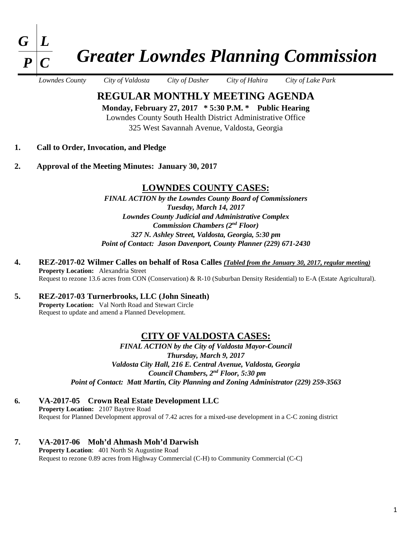

# *Greater Lowndes Planning Commission*

*Lowndes County City of Valdosta City of Dasher City of Hahira City of Lake Park*

**REGULAR MONTHLY MEETING AGENDA** 

**Monday, February 27, 2017 \* 5:30 P.M. \* Public Hearing**  Lowndes County South Health District Administrative Office 325 West Savannah Avenue, Valdosta, Georgia

- **1. Call to Order, Invocation, and Pledge**
- **2. Approval of the Meeting Minutes: January 30, 2017**

#### **LOWNDES COUNTY CASES:**

*FINAL ACTION by the Lowndes County Board of Commissioners Tuesday, March 14, 2017 Lowndes County Judicial and Administrative Complex Commission Chambers (2nd Floor) 327 N. Ashley Street, Valdosta, Georgia, 5:30 pm Point of Contact: Jason Davenport, County Planner (229) 671-2430*

- **4. REZ-2017-02 Wilmer Calles on behalf of Rosa Calles** *(Tabled from the January 30, 2017, regular meeting)* **Property Location:** Alexandria Street Request to rezone 13.6 acres from CON (Conservation) & R-10 (Suburban Density Residential) to E-A (Estate Agricultural).
- **5. REZ-2017-03 Turnerbrooks, LLC (John Sineath) Property Location:** Val North Road and Stewart Circle Request to update and amend a Planned Development.

#### **CITY OF VALDOSTA CASES:**

*FINAL ACTION by the City of Valdosta Mayor-Council Thursday, March 9, 2017 Valdosta City Hall, 216 E. Central Avenue, Valdosta, Georgia Council Chambers, 2nd Floor, 5:30 pm Point of Contact: Matt Martin, City Planning and Zoning Administrator (229) 259-3563*

- **6. VA-2017-05 Crown Real Estate Development LLC Property Location:** 2107 Baytree Road Request for Planned Development approval of 7.42 acres for a mixed-use development in a C-C zoning district
- **7. VA-2017-06 Moh'd Ahmash Moh'd Darwish Property Location**: 401 North St Augustine Road Request to rezone 0.89 acres from Highway Commercial (C-H) to Community Commercial (C-C)